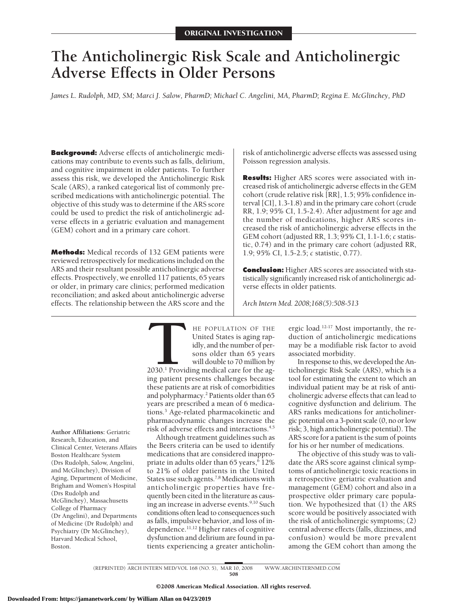# **The Anticholinergic Risk Scale and Anticholinergic Adverse Effects in Older Persons**

*James L. Rudolph, MD, SM; Marci J. Salow, PharmD; Michael C. Angelini, MA, PharmD; Regina E. McGlinchey, PhD*

**Background:** Adverse effects of anticholinergic medications may contribute to events such as falls, delirium, and cognitive impairment in older patients. To further assess this risk, we developed the Anticholinergic Risk Scale (ARS), a ranked categorical list of commonly prescribed medications with anticholinergic potential. The objective of this study was to determine if the ARS score could be used to predict the risk of anticholinergic adverse effects in a geriatric evaluation and management (GEM) cohort and in a primary care cohort.

**Methods:** Medical records of 132 GEM patients were reviewed retrospectively for medications included on the ARS and their resultant possible anticholinergic adverse effects. Prospectively, we enrolled 117 patients, 65 years or older, in primary care clinics; performed medication reconciliation; and asked about anticholinergic adverse effects. The relationship between the ARS score and the risk of anticholinergic adverse effects was assessed using Poisson regression analysis.

**Results:** Higher ARS scores were associated with increased risk of anticholinergic adverse effects in the GEM cohort (crude relative risk [RR], 1.5; 95% confidence interval [CI], 1.3-1.8) and in the primary care cohort (crude RR, 1.9; 95% CI, 1.5-2.4). After adjustment for age and the number of medications, higher ARS scores increased the risk of anticholinergic adverse effects in the GEM cohort (adjusted RR, 1.3; 95% CI, 1.1-1.6; *c* statistic, 0.74) and in the primary care cohort (adjusted RR, 1.9; 95% CI, 1.5-2.5; *c* statistic, 0.77).

**Conclusion:** Higher ARS scores are associated with statistically significantly increased risk of anticholinergic adverse effects in older patients.

*Arch Intern Med. 2008;168(5):508-513*

**Author Affiliations:** Geriatric Research, Education, and Clinical Center, Veterans Affairs Boston Healthcare System (Drs Rudolph, Salow, Angelini, and McGlinchey), Division of Aging, Department of Medicine, Brigham and Women's Hospital (Drs Rudolph and McGlinchey), Massachusetts College of Pharmacy (Dr Angelini), and Departments of Medicine (Dr Rudolph) and Psychiatry (Dr McGlinchey), Harvard Medical School, Boston.

**THE POPULATION OF THE United States is aging rapidly, and the number of persons older than 65 years will double to 70 million by 2030.<sup>1</sup> Providing medical care for the aging patient presents challenges because** United States is aging rapidly, and the number of persons older than 65 years will double to 70 million by  $2030<sup>1</sup>$  Providing medical care for the agthese patients are at risk of comorbidities and polypharmacy.2 Patients older than 65 years are prescribed a mean of 6 medications.3 Age-related pharmacokinetic and pharmacodynamic changes increase the risk of adverse effects and interactions.4,5

Although treatment guidelines such as the Beers criteria can be used to identify medications that are considered inappropriate in adults older than 65 years,  $612\%$ to 21% of older patients in the United States use such agents.<sup>7,8</sup> Medications with anticholinergic properties have frequently been cited in the literature as causing an increase in adverse events.<sup>9,10</sup> Such conditions often lead to consequences such as falls, impulsive behavior, and loss of independence.11,12 Higher rates of cognitive dysfunction and delirium are found in patients experiencing a greater anticholin-

ergic load.12-17 Most importantly, the reduction of anticholinergic medications may be a modifiable risk factor to avoid associated morbidity.

In response to this, we developed the Anticholinergic Risk Scale (ARS), which is a tool for estimating the extent to which an individual patient may be at risk of anticholinergic adverse effects that can lead to cognitive dysfunction and delirium. The ARS ranks medications for anticholinergic potential on a 3-point scale (0, no or low risk; 3, high anticholinergic potential). The ARS score for a patient is the sum of points for his or her number of medications.

The objective of this study was to validate the ARS score against clinical symptoms of anticholinergic toxic reactions in a retrospective geriatric evaluation and management (GEM) cohort and also in a prospective older primary care population. We hypothesized that (1) the ARS score would be positively associated with the risk of anticholinergic symptoms; (2) central adverse effects (falls, dizziness, and confusion) would be more prevalent among the GEM cohort than among the

(REPRINTED) ARCH INTERN MED/ VOL 168 (NO. 5), MAR 10, 2008 WWW.ARCHINTERNMED.COM

508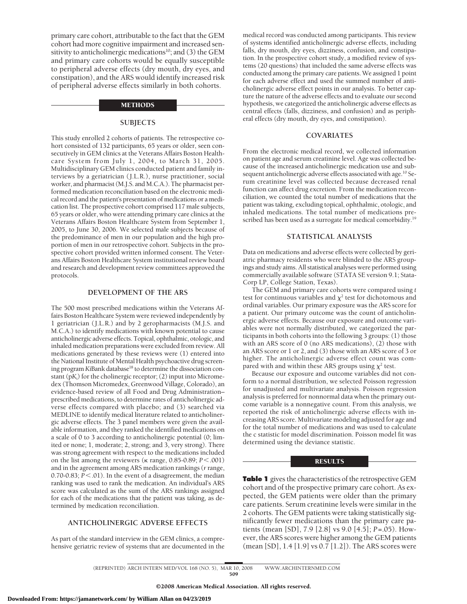primary care cohort, attributable to the fact that the GEM cohort had more cognitive impairment and increased sensitivity to anticholinergic medications<sup>10</sup>; and (3) the GEM and primary care cohorts would be equally susceptible to peripheral adverse effects (dry mouth, dry eyes, and constipation), and the ARS would identify increased risk of peripheral adverse effects similarly in both cohorts.

#### METHODS

#### **SUBJECTS**

This study enrolled 2 cohorts of patients. The retrospective cohort consisted of 132 participants, 65 years or older, seen consecutively in GEM clinics at the Veterans Affairs Boston Healthcare System from July 1, 2004, to March 31, 2005. Multidisciplinary GEM clinics conducted patient and family interviews by a geriatrician ( J.L.R.), nurse practitioner, social worker, and pharmacist (M.J.S. and M.C.A.). The pharmacist performed medication reconciliation based on the electronic medical record and the patient's presentation of medications or a medication list. The prospective cohort comprised 117 male subjects, 65 years or older, who were attending primary care clinics at the Veterans Affairs Boston Healthcare System from September 1, 2005, to June 30, 2006. We selected male subjects because of the predominance of men in our population and the high proportion of men in our retrospective cohort. Subjects in the prospective cohort provided written informed consent. The Veterans Affairs Boston Healthcare System institutional review board and research and development review committees approved the protocols.

### **DEVELOPMENT OF THE ARS**

The 500 most prescribed medications within the Veterans Affairs Boston Healthcare System were reviewed independently by 1 geriatrician ( J.L.R.) and by 2 geropharmacists (M.J.S. and M.C.A.) to identify medications with known potential to cause anticholinergic adverse effects. Topical, ophthalmic, otologic, and inhaled medication preparations were excluded from review. All medications generated by these reviews were (1) entered into the National Institute of Mental Health psychoactive drug screening program *KiBank database<sup>18</sup> to determine the dissociation con*stant (pK<sub>i</sub>) for the cholinergic receptor; (2) input into Micromedex (Thomson Micromedex, Greenwood Village, Colorado), an evidence-based review of all Food and Drug Administration– prescribed medications, to determine rates of anticholinergic adverse effects compared with placebo; and (3) searched via MEDLINE to identify medical literature related to anticholinergic adverse effects. The 3 panel members were given the available information, and they ranked the identified medications on a scale of 0 to 3 according to anticholinergic potential (0; limited or none; 1, moderate; 2, strong; and 3, very strong). There was strong agreement with respect to the medications included on the list among the reviewers ( $\kappa$  range, 0.85-0.89;  $P$  < .001) and in the agreement among ARS medication rankings (*r*range, 0.70-0.83;  $P < 0.01$ ). In the event of a disagreement, the median ranking was used to rank the medication. An individual's ARS score was calculated as the sum of the ARS rankings assigned for each of the medications that the patient was taking, as determined by medication reconciliation.

# **ANTICHOLINERGIC ADVERSE EFFECTS**

As part of the standard interview in the GEM clinics, a comprehensive geriatric review of systems that are documented in the medical record was conducted among participants. This review of systems identified anticholinergic adverse effects, including falls, dry mouth, dry eyes, dizziness, confusion, and constipation. In the prospective cohort study, a modified review of systems (20 questions) that included the same adverse effects was conducted among the primary care patients. We assigned 1 point for each adverse effect and used the summed number of anticholinergic adverse effect points in our analysis. To better capture the nature of the adverse effects and to evaluate our second hypothesis, we categorized the anticholinergic adverse effects as central effects (falls, dizziness, and confusion) and as peripheral effects (dry mouth, dry eyes, and constipation).

## **COVARIATES**

From the electronic medical record, we collected information on patient age and serum creatinine level. Age was collected because of the increased anticholinergic medication use and subsequent anticholinergic adverse effects associated with age.<sup>10</sup> Serum creatinine level was collected because decreased renal function can affect drug excretion. From the medication reconciliation, we counted the total number of medications that the patient was taking, excluding topical, ophthalmic, otologic, and inhaled medications. The total number of medications prescribed has been used as a surrogate for medical comorbidity.<sup>19</sup>

### **STATISTICAL ANALYSIS**

Data on medications and adverse effects were collected by geriatric pharmacy residents who were blinded to the ARS groupings and study aims. All statistical analyses were performed using commercially available software (STATA SE version 9.1; Stata-Corp LP, College Station, Texas).

The GEM and primary care cohorts were compared using *t* test for continuous variables and  $\chi^2$  test for dichotomous and ordinal variables. Our primary exposure was the ARS score for a patient. Our primary outcome was the count of anticholinergic adverse effects. Because our exposure and outcome variables were not normally distributed, we categorized the participants in both cohorts into the following 3 groups: (1) those with an ARS score of 0 (no ARS medications), (2) those with an ARS score or 1 or 2, and (3) those with an ARS score of 3 or higher. The anticholinergic adverse effect count was compared with and within these ARS groups using  $\chi^2$  test.

Because our exposure and outcome variables did not conform to a normal distribution, we selected Poisson regression for unadjusted and multivariate analysis. Poisson regression analysis is preferred for nonnormal data when the primary outcome variable is a nonnegative count. From this analysis, we reported the risk of anticholinergic adverse effects with increasing ARS score. Multivariate modeling adjusted for age and for the total number of medications and was used to calculate the c statistic for model discrimination. Poisson model fit was determined using the deviance statistic.

## **RESULTS**

**Table 1** gives the characteristics of the retrospective GEM cohort and of the prospective primary care cohort. As expected, the GEM patients were older than the primary care patients. Serum creatinine levels were similar in the 2 cohorts. The GEM patients were taking statistically significantly fewer medications than the primary care patients (mean [SD], 7.9 [2.8] vs 9.0 [4.5]; *P*=.05). However, the ARS scores were higher among the GEM patients (mean [SD], 1.4 [1.9] vs 0.7 [1.2]). The ARS scores were

(REPRINTED) ARCH INTERN MED/ VOL 168 (NO. 5), MAR 10, 2008 WWW.ARCHINTERNMED.COM

509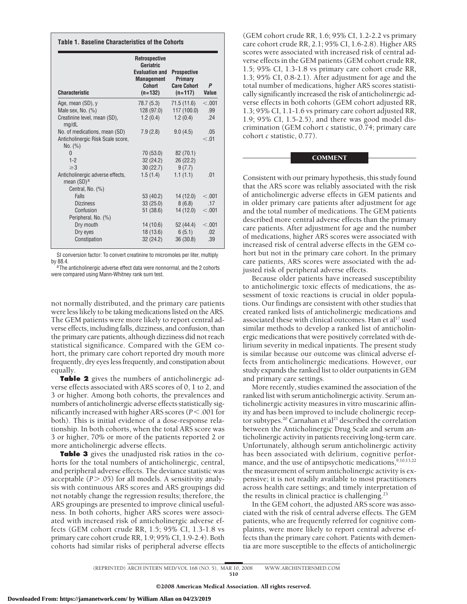|                                                            | Retrospective<br><b>Geriatric</b>                                 |                                                                  |            |  |
|------------------------------------------------------------|-------------------------------------------------------------------|------------------------------------------------------------------|------------|--|
| <b>Characteristic</b>                                      | <b>Evaluation and</b><br><b>Management</b><br>Cohort<br>$(n=132)$ | <b>Prospective</b><br>Primary<br><b>Care Cohort</b><br>$(n=117)$ | P<br>Value |  |
| Age, mean (SD), y                                          | 78.7 (5.3)                                                        | 71.5(11.6)                                                       | < .001     |  |
| Male sex, No. $(\%)$                                       | 128 (97.0)                                                        | 117(100.0)                                                       | .99        |  |
| Creatinine level, mean (SD),<br>mq/dL                      | 1.2(0.4)                                                          | 1.2(0.4)                                                         | .24        |  |
| No. of medications, mean (SD)                              | 7.9(2.8)                                                          | 9.0(4.5)                                                         | .05        |  |
| Anticholinergic Risk Scale score,<br>No. (%)               |                                                                   |                                                                  | < 0.01     |  |
| 0                                                          | 70 (53.0)                                                         | 82 (70.1)                                                        |            |  |
| $1-2$                                                      | 32 (24.2)                                                         | 26(22.2)                                                         |            |  |
| $\geq$ 3                                                   | 30(22.7)                                                          | 9(7.7)                                                           |            |  |
| Anticholinergic adverse effects,<br>mean (SD) <sup>a</sup> | 1.5(1.4)                                                          | 1.1(1.1)                                                         | .01        |  |
| Central, No. (%)                                           |                                                                   |                                                                  |            |  |
| Falls                                                      | 53 (40.2)                                                         | 14(12.0)                                                         | < 0.001    |  |
| <b>Dizziness</b>                                           | 33(25.0)                                                          | 8(6.8)                                                           | .17        |  |
| Confusion                                                  | 51(38.6)                                                          | 14(12.0)                                                         | < 0.001    |  |
| Peripheral, No. (%)                                        |                                                                   |                                                                  |            |  |
| Dry mouth                                                  | 14(10.6)                                                          | 52 (44.4)                                                        | < 0.001    |  |
| Dry eyes                                                   | 18(13.6)                                                          | 6(5.1)                                                           | .02        |  |
| Constipation                                               | 32(24.2)                                                          | 36(30.8)                                                         | .39        |  |

SI conversion factor: To convert creatinine to micromoles per liter, multiply by 88.4.

<sup>a</sup>The anticholinergic adverse effect data were nonnormal, and the 2 cohorts were compared using Mann-Whitney rank sum test.

not normally distributed, and the primary care patients were less likely to be taking medications listed on the ARS. The GEM patients were more likely to report central adverse effects, including falls, dizziness, and confusion, than the primary care patients, although dizziness did not reach statistical significance. Compared with the GEM cohort, the primary care cohort reported dry mouth more frequently, dry eyes less frequently, and constipation about equally.

**Table 2** gives the numbers of anticholinergic adverse effects associated with ARS scores of 0, 1 to 2, and 3 or higher. Among both cohorts, the prevalences and numbers of anticholinergic adverse effects statistically significantly increased with higher ARS scores ( $P$ <.001 for both). This is initial evidence of a dose-response relationship. In both cohorts, when the total ARS score was 3 or higher, 70% or more of the patients reported 2 or more anticholinergic adverse effects.

**Table 3** gives the unadjusted risk ratios in the cohorts for the total numbers of anticholinergic, central, and peripheral adverse effects. The deviance statistic was acceptable  $(P > .05)$  for all models. A sensitivity analysis with continuous ARS scores and ARS groupings did not notably change the regression results; therefore, the ARS groupings are presented to improve clinical usefulness. In both cohorts, higher ARS scores were associated with increased risk of anticholinergic adverse effects (GEM cohort crude RR, 1.5; 95% CI, 1.3-1.8 vs primary care cohort crude RR, 1.9; 95% CI, 1.9-2.4). Both cohorts had similar risks of peripheral adverse effects

(GEM cohort crude RR, 1.6; 95% CI, 1.2-2.2 vs primary care cohort crude RR, 2.1; 95% CI, 1.6-2.8). Higher ARS scores were associated with increased risk of central adverse effects in the GEM patients (GEM cohort crude RR, 1.5; 95% CI, 1.3-1.8 vs primary care cohort crude RR, 1.3; 95% CI, 0.8-2.1). After adjustment for age and the total number of medications, higher ARS scores statistically significantly increased the risk of anticholinergic adverse effects in both cohorts (GEM cohort adjusted RR, 1.3; 95% CI, 1.1-1.6 vs primary care cohort adjusted RR, 1.9; 95% CI, 1.5-2.5), and there was good model discrimination (GEM cohort *c* statistic, 0.74; primary care cohort *c* statistic, 0.77).

### COMMENT

Consistent with our primary hypothesis, this study found that the ARS score was reliably associated with the risk of anticholinergic adverse effects in GEM patients and in older primary care patients after adjustment for age and the total number of medications. The GEM patients described more central adverse effects than the primary care patients. After adjustment for age and the number of medications, higher ARS scores were associated with increased risk of central adverse effects in the GEM cohort but not in the primary care cohort. In the primary care patients, ARS scores were associated with the adjusted risk of peripheral adverse effects.

Because older patients have increased susceptibility to anticholinergic toxic effects of medications, the assessment of toxic reactions is crucial in older populations. Our findings are consistent with other studies that created ranked lists of anticholinergic medications and associated these with clinical outcomes. Han et al<sup>17</sup> used similar methods to develop a ranked list of anticholinergic medications that were positively correlated with delirium severity in medical inpatients. The present study is similar because our outcome was clinical adverse effects from anticholinergic medications. However, our study expands the ranked list to older outpatients in GEM and primary care settings.

More recently, studies examined the association of the ranked list with serum anticholinergic activity. Serum anticholinergic activity measures in vitro muscarinic affinity and has been improved to include cholinergic receptor subtypes.<sup>20</sup> Carnahan et al<sup>21</sup> described the correlation between the Anticholinergic Drug Scale and serum anticholinergic activity in patients receiving long-term care. Unfortunately, although serum anticholinergic activity has been associated with delirium, cognitive performance, and the use of antipsychotic medications,<sup>9,10,13,22</sup> the measurement of serum anticholinergic activity is expensive; it is not readily available to most practitioners across health care settings; and timely interpretation of the results in clinical practice is challenging. $23$ 

In the GEM cohort, the adjusted ARS score was associated with the risk of central adverse effects. The GEM patients, who are frequently referred for cognitive complaints, were more likely to report central adverse effects than the primary care cohort. Patients with dementia are more susceptible to the effects of anticholinergic

510

<sup>(</sup>REPRINTED) ARCH INTERN MED/ VOL 168 (NO. 5), MAR 10, 2008 WWW.ARCHINTERNMED.COM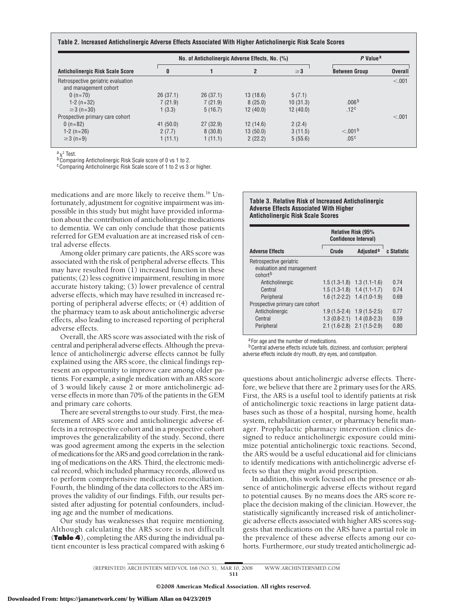**Table 2. Increased Anticholinergic Adverse Effects Associated With Higher Anticholinergic Risk Scale Scores**

|                                                             | No. of Anticholinergic Adverse Effects, No. (%) |          |                |          | P Value <sup>a</sup> |                |
|-------------------------------------------------------------|-------------------------------------------------|----------|----------------|----------|----------------------|----------------|
| <b>Anticholinergic Risk Scale Score</b>                     |                                                 |          | $\overline{2}$ | $\geq 3$ | <b>Between Group</b> | <b>Overall</b> |
| Retrospective geriatric evaluation<br>and management cohort |                                                 |          |                |          |                      | < .001         |
| $0(n=70)$                                                   | 26(37.1)                                        | 26(37.1) | 13(18.6)       | 5(7.1)   |                      |                |
| $1-2(n=32)$                                                 | 7(21.9)                                         | 7(21.9)  | 8(25.0)        | 10(31.3) | .006 <sup>b</sup>    |                |
| $\geq$ 3 (n=30)                                             | (3.3)                                           | 5(16.7)  | 12(40.0)       | 12(40.0) | .12 <sup>c</sup>     |                |
| Prospective primary care cohort                             |                                                 |          |                |          |                      | < 0.001        |
| $0(n=82)$                                                   | 41(50.0)                                        | 27(32.9) | 12(14.6)       | 2(2.4)   |                      |                |
| $1-2(n=26)$                                                 | 2(7.7)                                          | 8(30.8)  | 13(50.0)       | 3(11.5)  | < 0.01 <sup>b</sup>  |                |
| $\geq$ 3 (n=9)                                              | 1(11.1)                                         | 1(11.1)  | 2(22.2)        | 5(55.6)  | .05 <sup>c</sup>     |                |

 $\frac{a}{\chi^2}$  Test.

<sup>b</sup>Comparing Anticholinergic Risk Scale score of 0 vs 1 to 2.

cComparing Anticholinergic Risk Scale score of 1 to 2 vs 3 or higher.

medications and are more likely to receive them.<sup>16</sup> Unfortunately, adjustment for cognitive impairment was impossible in this study but might have provided information about the contribution of anticholinergic medications to dementia. We can only conclude that those patients referred for GEM evaluation are at increased risk of central adverse effects.

Among older primary care patients, the ARS score was associated with the risk of peripheral adverse effects. This may have resulted from (1) increased function in these patients; (2) less cognitive impairment, resulting in more accurate history taking; (3) lower prevalence of central adverse effects, which may have resulted in increased reporting of peripheral adverse effects; or (4) addition of the pharmacy team to ask about anticholinergic adverse effects, also leading to increased reporting of peripheral adverse effects.

Overall, the ARS score was associated with the risk of central and peripheral adverse effects. Although the prevalence of anticholinergic adverse effects cannot be fully explained using the ARS score, the clinical findings represent an opportunity to improve care among older patients. For example, a single medication with an ARS score of 3 would likely cause 2 or more anticholinergic adverse effects in more than 70% of the patients in the GEM and primary care cohorts.

There are several strengths to our study. First, the measurement of ARS score and anticholinergic adverse effects in a retrospective cohort and in a prospective cohort improves the generalizability of the study. Second, there was good agreement among the experts in the selection of medications for the ARS and good correlation in the ranking of medications on the ARS. Third, the electronic medical record, which included pharmacy records, allowed us to perform comprehensive medication reconciliation. Fourth, the blinding of the data collectors to the ARS improves the validity of our findings. Fifth, our results persisted after adjusting for potential confounders, including age and the number of medications.

Our study has weaknesses that require mentioning. Although calculating the ARS score is not difficult (**Table 4**), completing the ARS during the individual patient encounter is less practical compared with asking 6

#### **Table 3. Relative Risk of Increased Anticholinergic Adverse Effects Associated With Higher Anticholinergic Risk Scale Scores**

|                                                                             | <b>Relative Risk (95%</b><br>Confidence Interval) |                               |             |
|-----------------------------------------------------------------------------|---------------------------------------------------|-------------------------------|-------------|
| <b>Adverse Effects</b>                                                      | Crude                                             | Adjusted <sup>a</sup>         | c Statistic |
| Retrospective geriatric<br>evaluation and management<br>cohort <sup>b</sup> |                                                   |                               |             |
| Anticholinergic                                                             |                                                   | $1.5(1.3-1.8)$ $1.3(1.1-1.6)$ | 0.74        |
| Central                                                                     |                                                   | $1.5(1.3-1.8)$ $1.4(1.1-1.7)$ | 0.74        |
| Peripheral                                                                  |                                                   | $1.6(1.2-2.2)$ $1.4(1.0-1.9)$ | 0.69        |
| Prospective primary care cohort                                             |                                                   |                               |             |
| Anticholinergic                                                             |                                                   | $1.9(1.5-2.4)$ $1.9(1.5-2.5)$ | 0.77        |
| Central                                                                     |                                                   | $1.3(0.8-2.1)$ $1.4(0.8-2.3)$ | 0.59        |
| Peripheral                                                                  | $2.1(1.6-2.8)$                                    | $2.1(1.5-2.9)$                | 0.80        |

<sup>a</sup> For age and the number of medications.

b Central adverse effects include falls, dizziness, and confusion; peripheral adverse effects include dry mouth, dry eyes, and constipation.

questions about anticholinergic adverse effects. Therefore, we believe that there are 2 primary uses for the ARS. First, the ARS is a useful tool to identify patients at risk of anticholinergic toxic reactions in large patient databases such as those of a hospital, nursing home, health system, rehabilitation center, or pharmacy benefit manager. Prophylactic pharmacy intervention clinics designed to reduce anticholinergic exposure could minimize potential anticholinergic toxic reactions. Second, the ARS would be a useful educational aid for clinicians to identify medications with anticholinergic adverse effects so that they might avoid prescription.

In addition, this work focused on the presence or absence of anticholinergic adverse effects without regard to potential causes. By no means does the ARS score replace the decision making of the clinician. However, the statistically significantly increased risk of anticholinergic adverse effects associated with higher ARS scores suggests that medications on the ARS have a partial role in the prevalence of these adverse effects among our cohorts. Furthermore, our study treated anticholinergic ad-

<sup>(</sup>REPRINTED) ARCH INTERN MED/ VOL 168 (NO. 5), MAR 10, 2008 WWW.ARCHINTERNMED.COM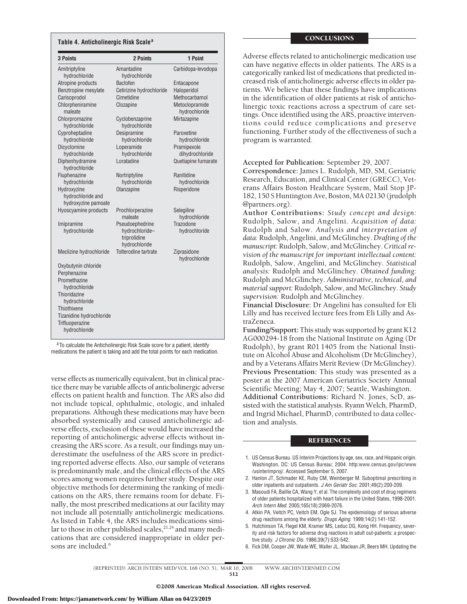| <b>3 Points</b>                                         | 2 Points                                        | 1 Point                         |  |
|---------------------------------------------------------|-------------------------------------------------|---------------------------------|--|
| Amitriptyline<br>hydrochloride                          | Amantadine<br>hydrochloride                     | Carbidopa-levodopa              |  |
| Atropine products                                       | <b>Baclofen</b>                                 | Entacapone                      |  |
| Benztropine mesylate                                    | Cetirizine hydrochloride                        | Haloperidol                     |  |
| Carisoprodol                                            | Cimetidine                                      | Methocarbamol                   |  |
| Chlorpheniramine<br>maleate                             | Clozapine                                       | Metoclopramide<br>hydrochloride |  |
| Chlorpromazine<br>hydrochloride                         | Cyclobenzaprine<br>hydrochloride                | Mirtazapine                     |  |
| Cyproheptadine                                          | Desipramine                                     | Paroxetine                      |  |
| hydrochloride                                           | hydrochloride                                   | hydrochloride                   |  |
| Dicyclomine                                             | Loperamide                                      | Pramipexole                     |  |
| hydrochloride                                           | hydrochloride                                   | dihydrochloride                 |  |
| Diphenhydramine<br>hydrochloride                        | Loratadine                                      | Quetiapine fumarate             |  |
| Fluphenazine                                            | Nortriptyline                                   | Ranitidine                      |  |
| hydrochloride                                           | hydrochloride                                   | hydrochloride                   |  |
| Hydroxyzine<br>hydrochloride and<br>hydroxyzine pamoate | Olanzapine                                      | Risperidone                     |  |
| Hyoscyamine products                                    | Prochlorperazine<br>maleate                     | Selegiline<br>hydrochloride     |  |
| Imipramine                                              | Pseudoephedrine                                 | Trazodone                       |  |
| hydrochloride                                           | hydrochloride-<br>triprolidine<br>hydrochloride | hydrochloride                   |  |
| Meclizine hydrochloride                                 | Tolterodine tartrate                            | Ziprasidone<br>hydrochloride    |  |
| Oxybutynin chloride                                     |                                                 |                                 |  |
| Perphenazine                                            |                                                 |                                 |  |
| Promethazine<br>hydrochloride                           |                                                 |                                 |  |
| Thioridazine<br>hydrochloride                           |                                                 |                                 |  |
| Thiothixene                                             |                                                 |                                 |  |
| Tizanidine hydrochloride                                |                                                 |                                 |  |
| Trifluoperazine                                         |                                                 |                                 |  |
| hydrochloride                                           |                                                 |                                 |  |

<sup>a</sup>To calculate the Anticholinergic Risk Scale score for a patient, identify medications the patient is taking and add the total points for each medication.

verse effects as numerically equivalent, but in clinical practice there may be variable affects of anticholinergic adverse effects on patient health and function. The ARS also did not include topical, ophthalmic, otologic, and inhaled preparations. Although these medications may have been absorbed systemically and caused anticholinergic adverse effects, exclusion of these would have increased the reporting of anticholinergic adverse effects without increasing the ARS score. As a result, our findings may underestimate the usefulness of the ARS score in predicting reported adverse effects. Also, our sample of veterans is predominantly male, and the clinical effects of the ARS scores among women requires further study. Despite our objective methods for determining the ranking of medications on the ARS, there remains room for debate. Finally, the most prescribed medications at our facility may not include all potentially anticholinergic medications. As listed in Table 4, the ARS includes medications similar to those in other published scales,<sup>21,24</sup> and many medications that are considered inappropriate in older persons are included.<sup>6</sup>

## **CONCLUSIONS**

Adverse effects related to anticholinergic medication use can have negative effects in older patients. The ARS is a categorically ranked list of medications that predicted increased risk of anticholinergic adverse effects in older patients. We believe that these findings have implications in the identification of older patients at risk of anticholinergic toxic reactions across a spectrum of care settings. Once identified using the ARS, proactive interventions could reduce complications and preserve functioning. Further study of the effectiveness of such a program is warranted.

**Accepted for Publication:** September 29, 2007.

**Correspondence:** James L. Rudolph, MD, SM, Geriatric Research, Education, and Clinical Center (GRECC), Veterans Affairs Boston Healthcare System, Mail Stop JP-182, 150 S Huntington Ave, Boston, MA 02130 (jrudolph @partners.org).

**Author Contributions:** *Study concept and design:* Rudolph, Salow, and Angelini. *Acquisition of data:* Rudolph and Salow. *Analysis and interpretation of data:* Rudolph, Angelini, and McGlinchey. *Drafting of the manuscript:* Rudolph, Salow, and McGlinchey. *Critical revision of the manuscript for important intellectual content:* Rudolph, Salow, Angelini, and McGlinchey. *Statistical analysis:* Rudolph and McGlinchey. *Obtained funding:* Rudolph and McGlinchey. *Administrative, technical, and material support:* Rudolph, Salow, and McGlinchey. *Study supervision:* Rudolph and McGlinchey.

**Financial Disclosure:** Dr Angelini has consulted for Eli Lilly and has received lecture fees from Eli Lilly and AstraZeneca.

**Funding/Support:** This study was supported by grant K12 AG000294-18 from the National Institute on Aging (Dr Rudolph), by grant R01 1405 from the National Institute on Alcohol Abuse and Alcoholism (Dr McGlinchey), and by a Veterans Affairs Merit Review (Dr McGlinchey). **Previous Presentation:** This study was presented as a poster at the 2007 American Geriatrics Society Annual Scientific Meeting; May 4, 2007; Seattle, Washington. **Additional Contributions:** Richard N. Jones, ScD, assisted with the statistical analysis. Ryann Welch, PharmD, and Ingrid Michael, PharmD, contributed to data collection and analysis.

# **REFERENCES**

- 1. US Census Bureau. US Interim Projections by age, sex, race, and Hispanic origin. Washington, DC: US Census Bureau; 2004. http:www.census.gov/ipc/www /usinterimproj/. Accessed September 5, 2007.
- 2. Hanlon JT, Schmader KE, Ruby CM, Weinberger M. Suboptimal prescribing in older inpatients and outpatients. *J Am Geriatr Soc*. 2001;49(2):200-209.
- 3. Masoudi FA, Baillie CA, Wang Y, et al. The complexity and cost of drug regimens of older patients hospitalized with heart failure in the United States, 1998-2001. *Arch Intern Med*. 2005;165(18):2069-2076.
- 4. Atkin PA, Veitch PC, Veitch EM, Ogle SJ. The epidemiology of serious adverse drug reactions among the elderly. *Drugs Aging*. 1999;14(2):141-152.
- 5. Hutchinson TA, Flegel KM, Kramer MS, Leduc DG, Kong HH. Frequency, severity and risk factors for adverse drug reactions in adult out-patients: a prospective study. *J Chronic Dis*. 1986;39(7):533-542.
- 6. Fick DM, Cooper JW, Wade WE, Waller JL, Maclean JR, Beers MH. Updating the

(REPRINTED) ARCH INTERN MED/ VOL 168 (NO. 5), MAR 10, 2008 WWW.ARCHINTERNMED.COM 512